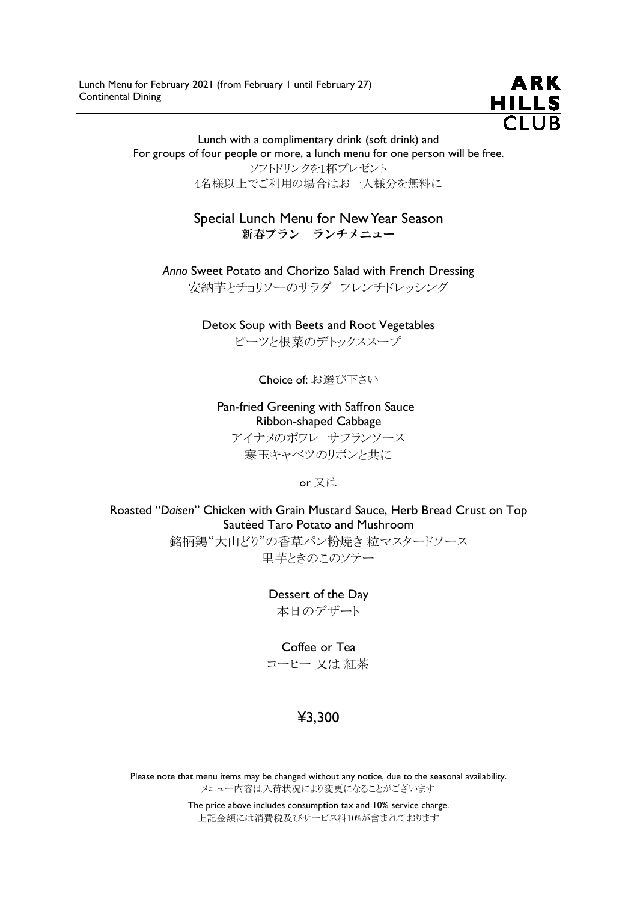

Lunch with a complimentary drink (soft drink) and For groups of four people or more, a lunch menu for one person will be free. ソフトドリンクを1杯プレゼント 4名様以上でご利用の場合はお一人様分を無料に

> Special Lunch Menu for New Year Season 新春プラン ランチメニュー

Anno Sweet Potato and Chorizo Salad with French Dressing 安納芋とチョリソーのサラダ フレンチドレッシング

> Detox Soup with Beets and Root Vegetables ビーツと根菜のデトックススープ

> > Choice of: お選び下さい

Pan-fried Greening with Saffron Sauce Ribbon-shaped Cabbage アイナメのポワレ サフランソース 寒玉キャベツのリボンと共に

or 又は

Roasted "Daisen" Chicken with Grain Mustard Sauce, Herb Bread Crust on Top Sautéed Taro Potato and Mushroom

> 銘柄鶏"大山どり"の香草パン粉焼き 粒マスタードソース 里芋ときのこのソテー

> > Dessert of the Day 本日のデザート

> > > Coffee or Tea

コーヒー 又は 紅茶

## ¥3,300

Please note that menu items may be changed without any notice, due to the seasonal availability. メニュー内容は入荷状況により変更になることがございます

> The price above includes consumption tax and 10% service charge. 上記金額には消費税及びサービス料10%が含まれております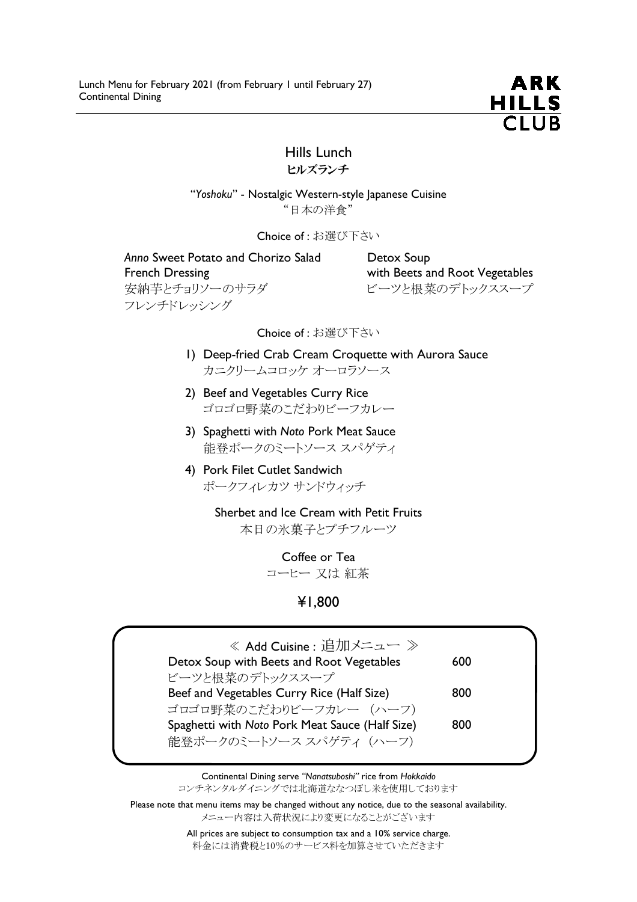

## Hills Lunch ヒルズランチ

"Yoshoku" - Nostalgic Western-style Japanese Cuisine "日本の洋食"

Choice of : お選び下さい

Anno Sweet Potato and Chorizo Salad Detox Soup French Dressing **Example 20** French Dressing with Beets and Root Vegetables 安納芋とチョリソーのサラダ マンコン ビーツと根菜のデトックススープ フレンチドレッシング

Choice of : お選び下さい

- 1) Deep-fried Crab Cream Croquette with Aurora Sauce カニクリームコロッケ オーロラソース
- 2) Beef and Vegetables Curry Rice ゴロゴロ野菜のこだわりビーフカレー
- 3) Spaghetti with Noto Pork Meat Sauce 能登ポークのミートソース スパゲティ
- 4) Pork Filet Cutlet Sandwich ポークフィレカツ サンドウィッチ

Sherbet and Ice Cream with Petit Fruits 本日の氷菓子とプチフルーツ

> Coffee or Tea コーヒー 又は 紅茶

> > ¥1,800

| 《 Add Cuisine : 追加メニュー 》                        |     |
|-------------------------------------------------|-----|
| Detox Soup with Beets and Root Vegetables       | 600 |
| ビーツと根菜のデトックススープ                                 |     |
| Beef and Vegetables Curry Rice (Half Size)      | 800 |
| ゴロゴロ野菜のこだわりビーフカレー (ハーフ)                         |     |
| Spaghetti with Noto Pork Meat Sauce (Half Size) | 800 |
| 能登ポークのミートソース スパゲティ (ハーフ)                        |     |

Continental Dining serve "Nanatsuboshi" rice from Hokkaido コンチネンタルダイニングでは北海道ななつぼし米を使用しております

Please note that menu items may be changed without any notice, due to the seasonal availability. メニュー内容は入荷状況により変更になることがございます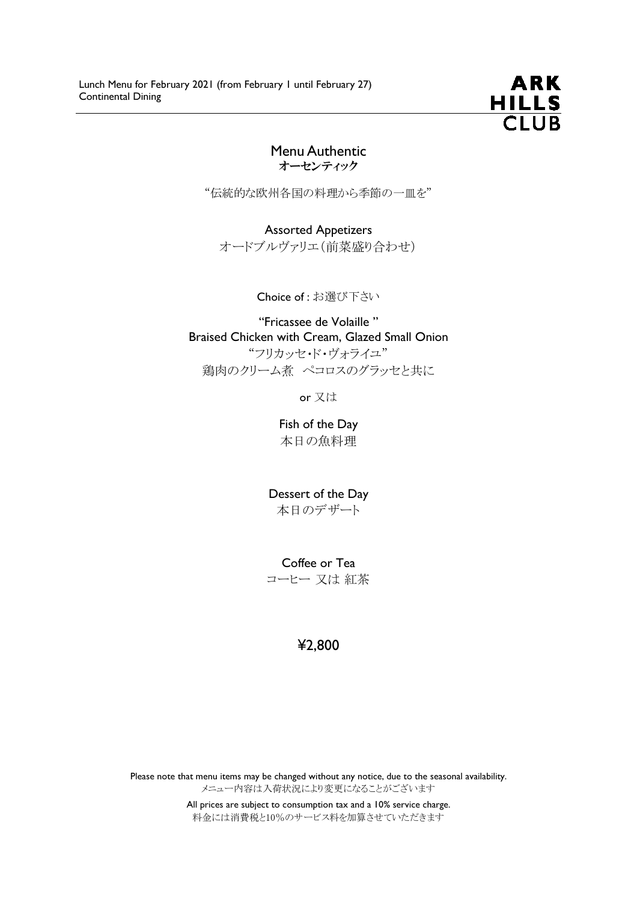

#### Menu Authentic オーセンティック

"伝統的な欧州各国の料理から季節の一皿を"

Assorted Appetizers オードブルヴァリエ(前菜盛り合わせ)

Choice of : お選び下さい

"Fricassee de Volaille " Braised Chicken with Cream, Glazed Small Onion "フリカッセ・ド・ヴォライユ" 鶏肉のクリーム煮 ペコロスのグラッセと共に

or 又は

Fish of the Day 本日の魚料理

Dessert of the Day 本日のデザート

Coffee or Tea コーヒー 又は 紅茶

# ¥2,800

Please note that menu items may be changed without any notice, due to the seasonal availability. メニュー内容は入荷状況により変更になることがございます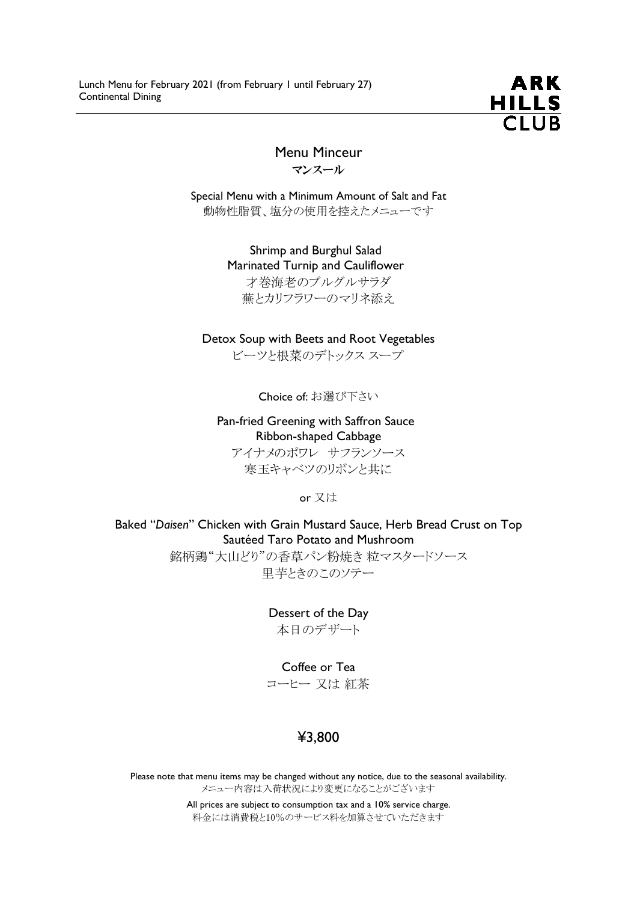

## Menu Minceur マンスール

Special Menu with a Minimum Amount of Salt and Fat 動物性脂質、塩分の使用を控えたメニューです

> Shrimp and Burghul Salad Marinated Turnip and Cauliflower 才巻海老のブルグルサラダ 蕪とカリフラワーのマリネ添え

#### Detox Soup with Beets and Root Vegetables

ビーツと根菜のデトックス スープ

Choice of: お選び下さい

#### Pan-fried Greening with Saffron Sauce Ribbon-shaped Cabbage

アイナメのポワレ サフランソース 寒玉キャベツのリボンと共に

or 又は

Baked "Daisen" Chicken with Grain Mustard Sauce, Herb Bread Crust on Top Sautéed Taro Potato and Mushroom

> 銘柄鶏"大山どり"の香草パン粉焼き 粒マスタードソース 里芋ときのこのソテー

> > Dessert of the Day 本日のデザート

#### Coffee or Tea

コーヒー 又は 紅茶

## ¥3,800

Please note that menu items may be changed without any notice, due to the seasonal availability. メニュー内容は入荷状況により変更になることがございます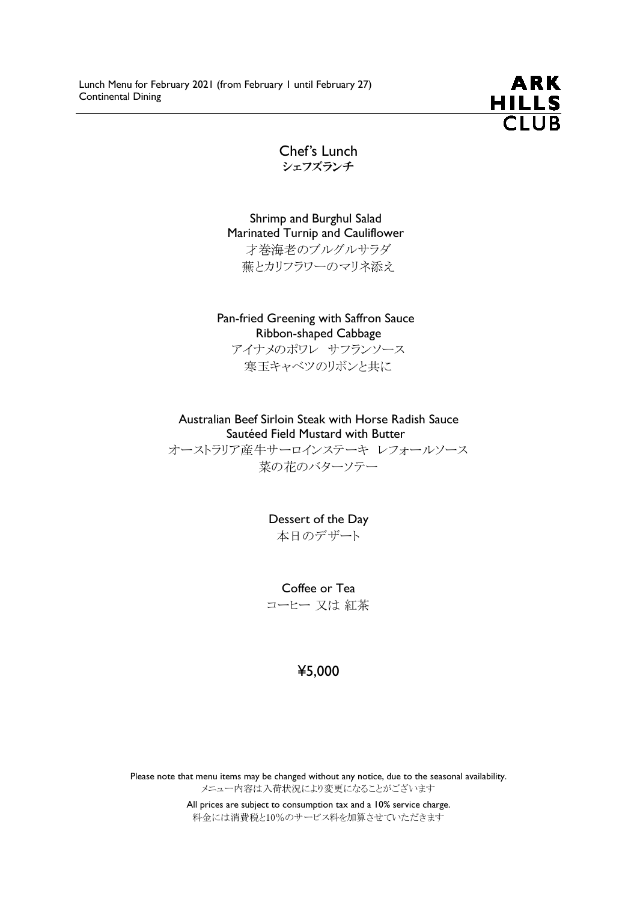

Chef's Lunch シェフズランチ

Shrimp and Burghul Salad Marinated Turnip and Cauliflower 才巻海老のブルグルサラダ 蕪とカリフラワーのマリネ添え

Pan-fried Greening with Saffron Sauce Ribbon-shaped Cabbage

アイナメのポワレ サフランソース 寒玉キャベツのリボンと共に

Australian Beef Sirloin Steak with Horse Radish Sauce Sautéed Field Mustard with Butter

オーストラリア産牛サーロインステーキ レフォールソース 菜の花のバターソテー

> Dessert of the Day 本日のデザート

Coffee or Tea コーヒー 又は 紅茶

#### ¥5,000

Please note that menu items may be changed without any notice, due to the seasonal availability. メニュー内容は入荷状況により変更になることがございます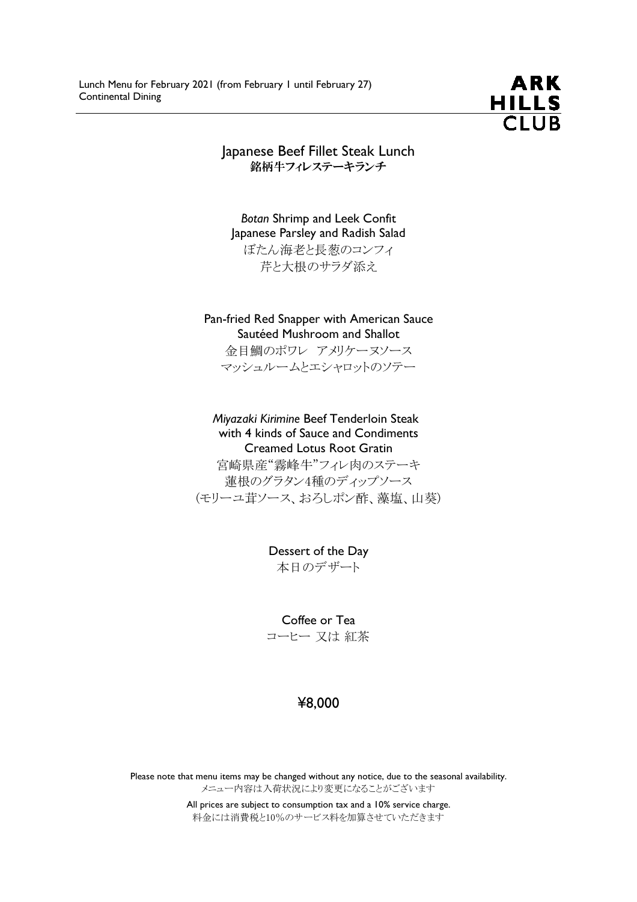

Japanese Beef Fillet Steak Lunch 銘柄牛フィレステーキランチ

Botan Shrimp and Leek Confit Japanese Parsley and Radish Salad ぼたん海老と長葱のコンフィ 芹と大根のサラダ添え

Pan-fried Red Snapper with American Sauce Sautéed Mushroom and Shallot 金目鯛のポワレ アメリケーヌソース マッシュルームとエシャロットのソテー

Miyazaki Kirimine Beef Tenderloin Steak with 4 kinds of Sauce and Condiments Creamed Lotus Root Gratin 宮崎県産"霧峰牛"フィレ肉のステーキ

蓮根のグラタン4種のディップソース (モリーユ茸ソース、おろしポン酢、藻塩、山葵)

> Dessert of the Day 本日のデザート

> Coffee or Tea コーヒー 又は 紅茶

### ¥8,000

Please note that menu items may be changed without any notice, due to the seasonal availability. メニュー内容は入荷状況により変更になることがございます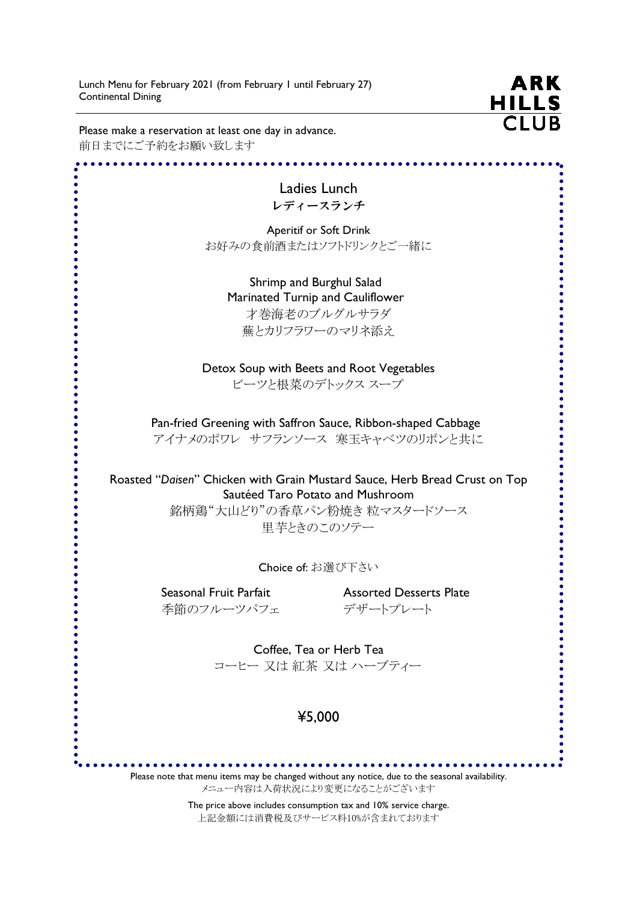Lunch Menu for February 2021 (from February 1 until February 27) Continental Dining

**ARK HILLS**  $\overline{C}$ lub

Please make a reservation at least one day in advance. 前日までにご予約をお願い致します

 $.....................$ Ladies Lunch レディースランチ Aperitif or Soft Drink お好みの食前酒またはソフトドリンクとご一緒に Shrimp and Burghul Salad Marinated Turnip and Cauliflower 才巻海老のブルグルサラダ 蕪とカリフラワーのマリネ添え Detox Soup with Beets and Root Vegetables ビーツと根菜のデトックス スープ Pan-fried Greening with Saffron Sauce, Ribbon-shaped Cabbage アイナメのポワレ サフランソース 寒玉キャベツのリボンと共に Roasted "Daisen" Chicken with Grain Mustard Sauce, Herb Bread Crust on Top Sautéed Taro Potato and Mushroom 銘柄鶏"大山どり"の香草パン粉焼き 粒マスタードソース 里芋ときのこのソテー Choice of: お選び下さい Seasonal Fruit Parfait **Assorted Desserts Plate**  季節のフルーツパフェ デザートプレート Coffee, Tea or Herb Tea コーヒー 又は 紅茶 又は ハーブティー ¥5,000 Please note that menu items may be changed without any notice, due to the seasonal availability. メニュー内容は入荷状況により変更になることがございます

The price above includes consumption tax and 10% service charge.

上記金額には消費税及びサービス料10%が含まれております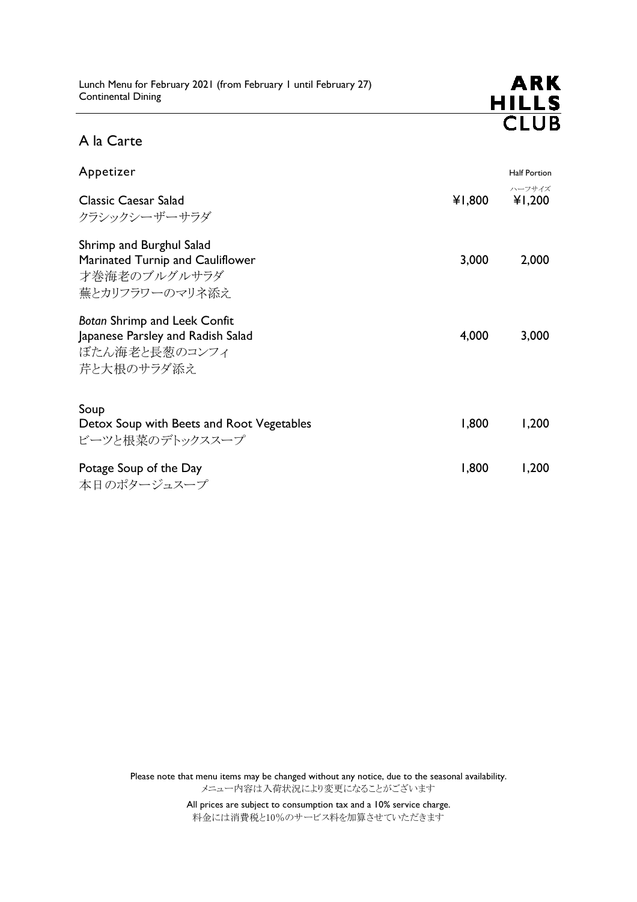

# A la Carte

| Appetizer                                                                                               |        | <b>Half Portion</b> |
|---------------------------------------------------------------------------------------------------------|--------|---------------------|
| <b>Classic Caesar Salad</b><br>クラシックシーザーサラダ                                                             | ¥1,800 | ハーフサイズ<br>¥1,200    |
| Shrimp and Burghul Salad<br>Marinated Turnip and Cauliflower<br>才巻海老のブルグルサラダ<br>蕪とカリフラワーのマリネ添え          | 3,000  | 2,000               |
| <b>Botan Shrimp and Leek Confit</b><br>Japanese Parsley and Radish Salad<br>ぼたん海老と長葱のコンフィ<br>芹と大根のサラダ添え | 4,000  | 3,000               |
| Soup<br>Detox Soup with Beets and Root Vegetables<br>ビーツと根菜のデトックススープ                                    | 1,800  | 1,200               |
| Potage Soup of the Day<br>本日のポタージュスープ                                                                   | 1,800  | 1,200               |

Please note that menu items may be changed without any notice, due to the seasonal availability. メニュー内容は入荷状況により変更になることがございます